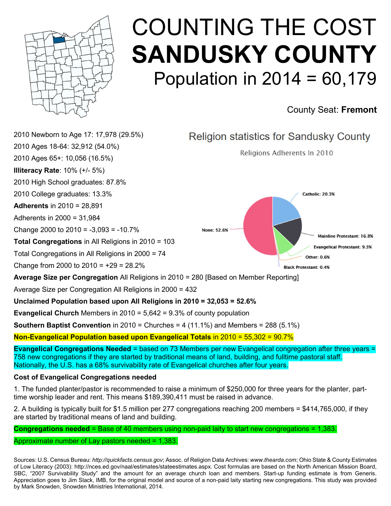

# COUNTING THE COST SANDUSKY COUNTY Population in  $2014 = 60,179$

### County Seat: Fremont



### Cost of Evangelical Congregations needed

1. The funded planter/pastor is recommended to raise a minimum of \$250,000 for three years for the planter, parttime worship leader and rent. This means \$189,390,411 must be raised in advance.

2. A building is typically built for \$1.5 million per 277 congregations reaching 200 members = \$414,765,000, if they are started by traditional means of land and building.

Congregations needed = Base of 40 members using non-paid laity to start new congregations = 1,383.

#### Approximate number of Lay pastors needed = 1,383.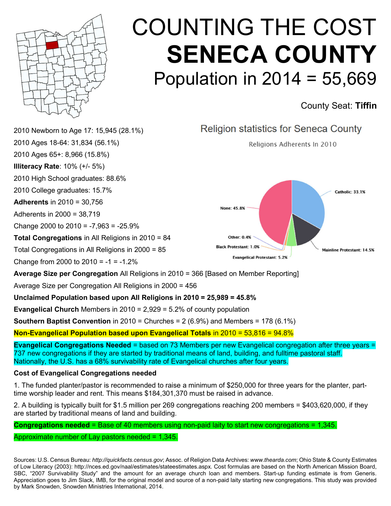

# COUNTING THE COST SENECA COUNTY Population in 2014 = 55,669

County Seat: Tiffin

| <b>Southern Baptist Convention</b> in 2010 = Churches = $2(6.9\%)$ and Members = 178 (6.1%)  |                                                                                   |  |
|----------------------------------------------------------------------------------------------|-----------------------------------------------------------------------------------|--|
| <b>Evangelical Church</b> Members in $2010 = 2,929 = 5.2\%$ of county population             |                                                                                   |  |
| Unclaimed Population based upon All Religions in 2010 = 25,989 = 45.8%                       |                                                                                   |  |
| Average Size per Congregation All Religions in 2000 = 456                                    |                                                                                   |  |
| <b>Average Size per Congregation</b> All Religions in 2010 = 366 [Based on Member Reporting] |                                                                                   |  |
| Change from 2000 to $2010 = -1 = -1.2\%$                                                     | <b>Evangelical Protestant: 5.2%</b>                                               |  |
| Total Congregations in All Religions in 2000 = 85                                            | Other: 0.4%<br><b>Black Protestant: 1.0%</b><br><b>Mainline Protestant: 14.5%</b> |  |
| Total Congregations in All Religions in 2010 = 84                                            |                                                                                   |  |
| Change 2000 to $2010 = -7,963 = -25.9\%$                                                     |                                                                                   |  |
| Adherents in 2000 = 38,719                                                                   |                                                                                   |  |
| <b>Adherents</b> in $2010 = 30,756$                                                          | None: 45.8%                                                                       |  |
| 2010 College graduates: 15.7%                                                                | <b>Catholic: 33.1%</b>                                                            |  |
| 2010 High School graduates: 88.6%                                                            |                                                                                   |  |
| <b>Illiteracy Rate: <math>10\%</math> (+/- 5%)</b>                                           |                                                                                   |  |
| 2010 Ages 65+: 8,966 (15.8%)                                                                 |                                                                                   |  |
| 2010 Ages 18-64: 31,834 (56.1%)                                                              | Religions Adherents In 2010                                                       |  |
| 2010 Newborn to Age 17: 15,945 (28.1%)                                                       | Religion statistics for Seneca County                                             |  |
|                                                                                              |                                                                                   |  |

Non-Evangelical Population based upon Evangelical Totals in 2010 = 53,816 = 94.8%

Evangelical Congregations Needed = based on 73 Members per new Evangelical congregation after three years = 737 new congregations if they are started by traditional means of land, building, and fulltime pastoral staff. Nationally, the U.S. has a 68% survivability rate of Evangelical churches after four years.

### Cost of Evangelical Congregations needed

1. The funded planter/pastor is recommended to raise a minimum of \$250,000 for three years for the planter, parttime worship leader and rent. This means \$184,301,370 must be raised in advance.

2. A building is typically built for \$1.5 million per 269 congregations reaching 200 members = \$403,620,000, if they are started by traditional means of land and building.

Congregations needed = Base of 40 members using non-paid laity to start new congregations = 1,345.

Approximate number of Lay pastors needed = 1,345.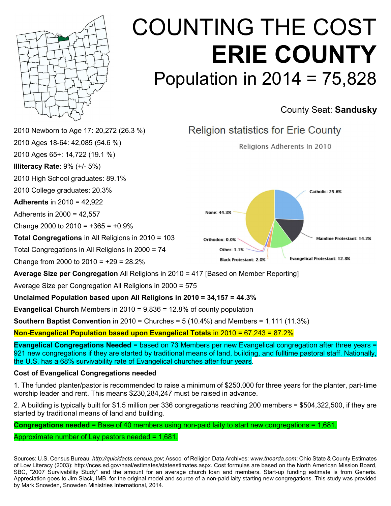

## COUNTING THE COST ERIE COUNTY Population in 2014 = 75,828

### County Seat: Sandusky



Unclaimed Population based upon All Religions in 2010 = 34,157 = 44.3%

**Evangelical Church** Members in  $2010 = 9,836 = 12.8%$  of county population

**Southern Baptist Convention** in 2010 = Churches =  $5(10.4\%)$  and Members =  $1,111(11.3\%)$ 

Non-Evangelical Population based upon Evangelical Totals in 2010 = 67,243 = 87.2%

Evangelical Congregations Needed = based on 73 Members per new Evangelical congregation after three years = 921 new congregations if they are started by traditional means of land, building, and fulltime pastoral staff. Nationally, the U.S. has a 68% survivability rate of Evangelical churches after four years.

#### Cost of Evangelical Congregations needed

1. The funded planter/pastor is recommended to raise a minimum of \$250,000 for three years for the planter, part-time worship leader and rent. This means \$230,284,247 must be raised in advance.

2. A building is typically built for \$1.5 million per 336 congregations reaching 200 members = \$504,322,500, if they are started by traditional means of land and building.

Congregations needed = Base of 40 members using non-paid laity to start new congregations = 1,681.

Approximate number of Lay pastors needed = 1,681.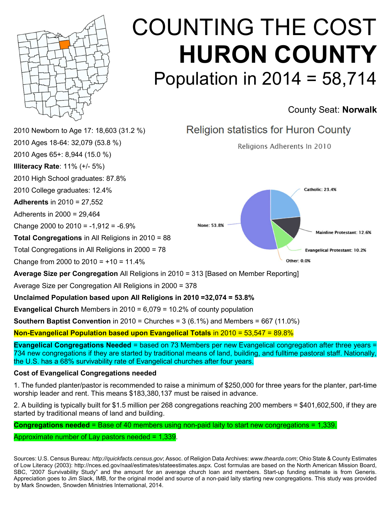

# COUNTING THE COST HURON COUNTY Population in 2014 = 58,714

### County Seat: Norwalk



**Southern Baptist Convention** in 2010 = Churches =  $3(6.1\%)$  and Members =  $667(11.0\%)$ 

Non-Evangelical Population based upon Evangelical Totals in 2010 = 53,547 = 89.8%

Evangelical Congregations Needed = based on 73 Members per new Evangelical congregation after three years = 734 new congregations if they are started by traditional means of land, building, and fulltime pastoral staff. Nationally, the U.S. has a 68% survivability rate of Evangelical churches after four years.

#### Cost of Evangelical Congregations needed

1. The funded planter/pastor is recommended to raise a minimum of \$250,000 for three years for the planter, part-time worship leader and rent. This means \$183,380,137 must be raised in advance.

2. A building is typically built for \$1.5 million per 268 congregations reaching 200 members = \$401,602,500, if they are started by traditional means of land and building.

Congregations needed = Base of 40 members using non-paid laity to start new congregations = 1,339.

Approximate number of Lay pastors needed = 1,339.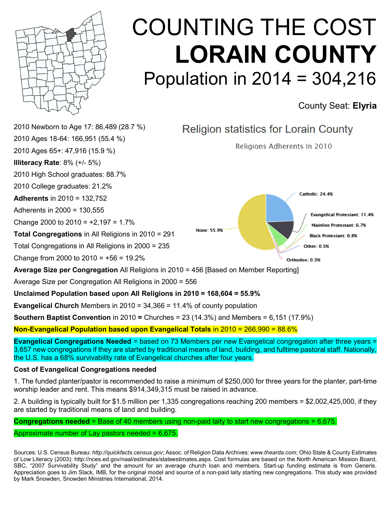

# COUNTING THE COST LORAIN COUNTY Population in 2014 = 304,216

County Seat: Elyria



Evangelical Congregations Needed = based on 73 Members per new Evangelical congregation after three years = 3,657 new congregations if they are started by traditional means of land, building, and fulltime pastoral staff. Nationally, the U.S. has a 68% survivability rate of Evangelical churches after four years.

#### Cost of Evangelical Congregations needed

1. The funded planter/pastor is recommended to raise a minimum of \$250,000 for three years for the planter, part-time worship leader and rent. This means \$914,349,315 must be raised in advance.

2. A building is typically built for \$1.5 million per 1,335 congregations reaching 200 members = \$2,002,425,000, if they are started by traditional means of land and building.

Congregations needed = Base of 40 members using non-paid laity to start new congregations = 6,675.

#### Approximate number of Lay pastors needed  $= 6.675$ .